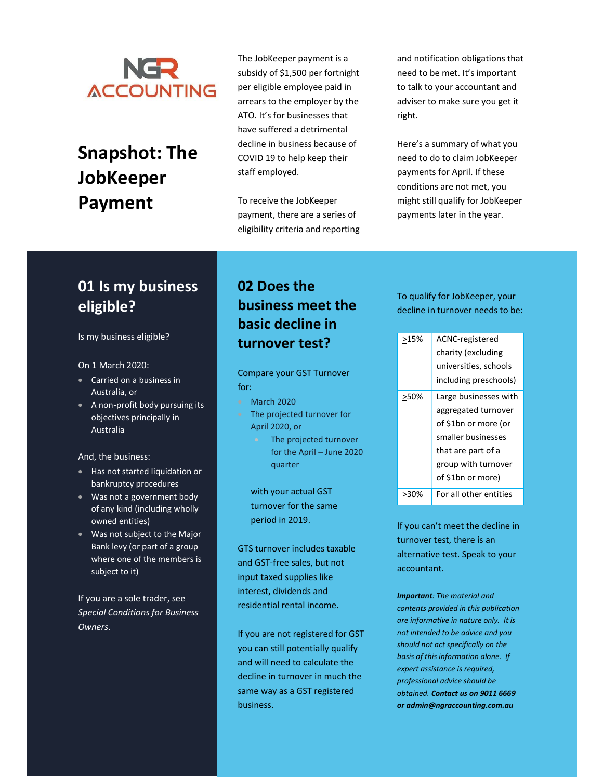

# Snapshot: The **JobKeeper** Payment

The JobKeeper payment is a subsidy of \$1,500 per fortnight per eligible employee paid in arrears to the employer by the ATO. It's for businesses that have suffered a detrimental decline in business because of COVID 19 to help keep their staff employed.

To receive the JobKeeper payment, there are a series of eligibility criteria and reporting

and notification obligations that need to be met. It's important to talk to your accountant and adviser to make sure you get it right.

Here's a summary of what you need to do to claim JobKeeper payments for April. If these conditions are not met, you might still qualify for JobKeeper payments later in the year.

# 01 Is my business eligible?

Is my business eligible?

#### On 1 March 2020:

- **Carried on a business in** Australia, or
- A non-profit body pursuing its objectives principally in Australia

And, the business:

- Has not started liquidation or bankruptcy procedures
- Was not a government body of any kind (including wholly owned entities)
- Was not subject to the Major Bank levy (or part of a group where one of the members is subject to it)

If you are a sole trader, see Special Conditions for Business Owners.

#### 02 Does the business meet the basic decline in turnover test?

Compare your GST Turnover for:

- March 2020
- The projected turnover for April 2020, or
	- The projected turnover for the April – June 2020 quarter

with your actual GST turnover for the same period in 2019.

GTS turnover includes taxable and GST-free sales, but not input taxed supplies like interest, dividends and residential rental income.

If you are not registered for GST you can still potentially qualify and will need to calculate the decline in turnover in much the same way as a GST registered business.

To qualify for JobKeeper, your decline in turnover needs to be:

| >15% | ACNC-registered<br>charity (excluding<br>universities, schools<br>including preschools)                                                                      |
|------|--------------------------------------------------------------------------------------------------------------------------------------------------------------|
| >50% | Large businesses with<br>aggregated turnover<br>of \$1bn or more (or<br>smaller businesses<br>that are part of a<br>group with turnover<br>of \$1bn or more) |
|      | For all other entities                                                                                                                                       |

If you can't meet the decline in turnover test, there is an alternative test. Speak to your accountant.

**Important:** The material and contents provided in this publication are informative in nature only. It is not intended to be advice and you should not act specifically on the basis of this information alone. If expert assistance is required, professional advice should be obtained. Contact us on 9011 6669 or admin@ngraccounting.com.au